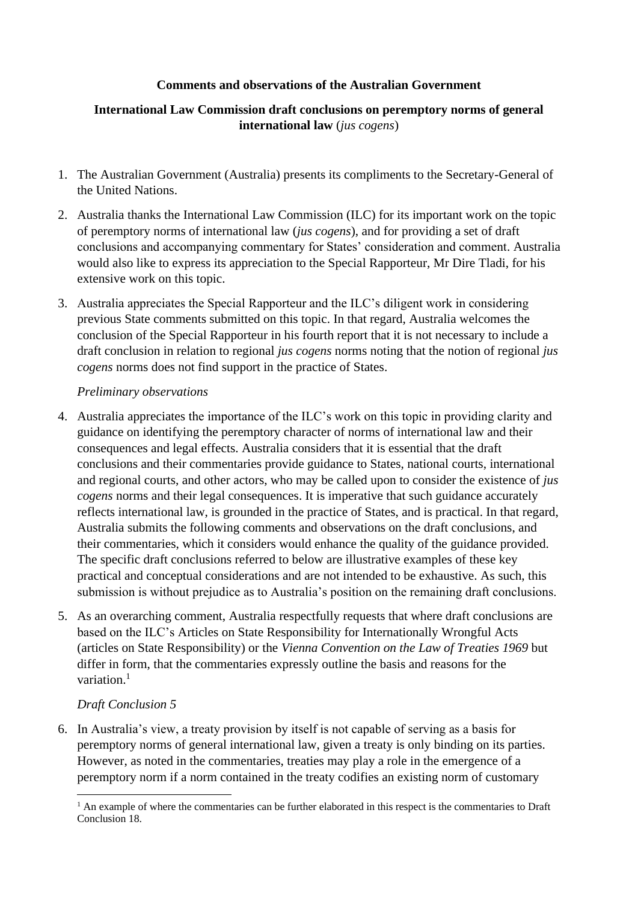### **Comments and observations of the Australian Government**

## **International Law Commission draft conclusions on peremptory norms of general international law** (*jus cogens*)

- 1. The Australian Government (Australia) presents its compliments to the Secretary-General of the United Nations.
- 2. Australia thanks the International Law Commission (ILC) for its important work on the topic of peremptory norms of international law (*jus cogens*), and for providing a set of draft conclusions and accompanying commentary for States' consideration and comment. Australia would also like to express its appreciation to the Special Rapporteur, Mr Dire Tladi, for his extensive work on this topic.
- 3. Australia appreciates the Special Rapporteur and the ILC's diligent work in considering previous State comments submitted on this topic. In that regard, Australia welcomes the conclusion of the Special Rapporteur in his fourth report that it is not necessary to include a draft conclusion in relation to regional *jus cogens* norms noting that the notion of regional *jus cogens* norms does not find support in the practice of States.

### *Preliminary observations*

- 4. Australia appreciates the importance of the ILC's work on this topic in providing clarity and guidance on identifying the peremptory character of norms of international law and their consequences and legal effects. Australia considers that it is essential that the draft conclusions and their commentaries provide guidance to States, national courts, international and regional courts, and other actors, who may be called upon to consider the existence of *jus cogens* norms and their legal consequences. It is imperative that such guidance accurately reflects international law, is grounded in the practice of States, and is practical. In that regard, Australia submits the following comments and observations on the draft conclusions, and their commentaries, which it considers would enhance the quality of the guidance provided. The specific draft conclusions referred to below are illustrative examples of these key practical and conceptual considerations and are not intended to be exhaustive. As such, this submission is without prejudice as to Australia's position on the remaining draft conclusions.
- 5. As an overarching comment, Australia respectfully requests that where draft conclusions are based on the ILC's Articles on State Responsibility for Internationally Wrongful Acts (articles on State Responsibility) or the *Vienna Convention on the Law of Treaties 1969* but differ in form, that the commentaries expressly outline the basis and reasons for the variation.<sup>1</sup>

### *Draft Conclusion 5*

6. In Australia's view, a treaty provision by itself is not capable of serving as a basis for peremptory norms of general international law, given a treaty is only binding on its parties. However, as noted in the commentaries, treaties may play a role in the emergence of a peremptory norm if a norm contained in the treaty codifies an existing norm of customary

 $<sup>1</sup>$  An example of where the commentaries can be further elaborated in this respect is the commentaries to Draft</sup> Conclusion 18.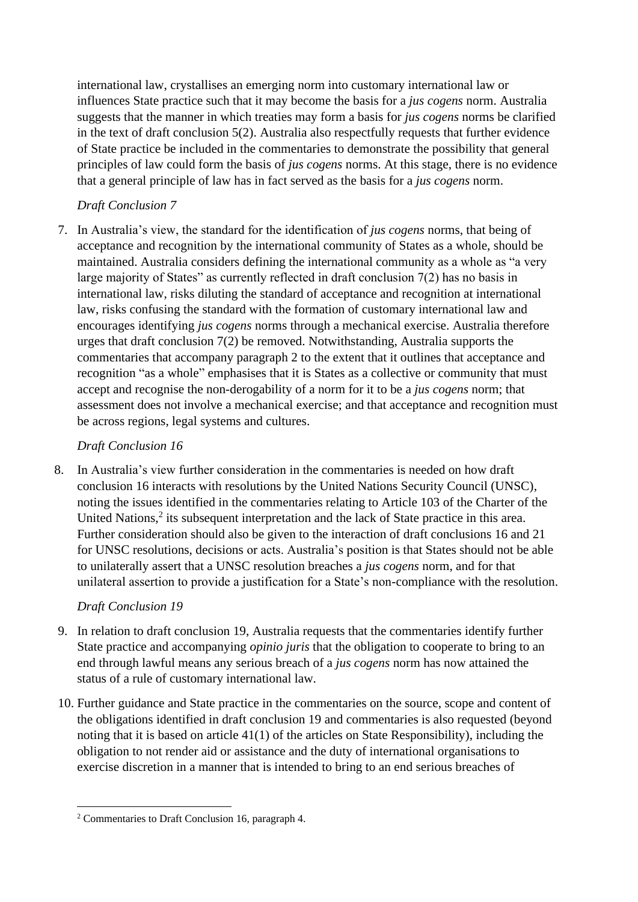international law, crystallises an emerging norm into customary international law or influences State practice such that it may become the basis for a *jus cogens* norm. Australia suggests that the manner in which treaties may form a basis for *jus cogens* norms be clarified in the text of draft conclusion 5(2). Australia also respectfully requests that further evidence of State practice be included in the commentaries to demonstrate the possibility that general principles of law could form the basis of *jus cogens* norms. At this stage, there is no evidence that a general principle of law has in fact served as the basis for a *jus cogens* norm.

# *Draft Conclusion 7*

7. In Australia's view, the standard for the identification of *jus cogens* norms, that being of acceptance and recognition by the international community of States as a whole, should be maintained. Australia considers defining the international community as a whole as "a very large majority of States" as currently reflected in draft conclusion 7(2) has no basis in international law, risks diluting the standard of acceptance and recognition at international law, risks confusing the standard with the formation of customary international law and encourages identifying *jus cogens* norms through a mechanical exercise. Australia therefore urges that draft conclusion 7(2) be removed. Notwithstanding, Australia supports the commentaries that accompany paragraph 2 to the extent that it outlines that acceptance and recognition "as a whole" emphasises that it is States as a collective or community that must accept and recognise the non-derogability of a norm for it to be a *jus cogens* norm; that assessment does not involve a mechanical exercise; and that acceptance and recognition must be across regions, legal systems and cultures.

# *Draft Conclusion 16*

8. In Australia's view further consideration in the commentaries is needed on how draft conclusion 16 interacts with resolutions by the United Nations Security Council (UNSC), noting the issues identified in the commentaries relating to Article 103 of the Charter of the United Nations,<sup>2</sup> its subsequent interpretation and the lack of State practice in this area. Further consideration should also be given to the interaction of draft conclusions 16 and 21 for UNSC resolutions, decisions or acts. Australia's position is that States should not be able to unilaterally assert that a UNSC resolution breaches a *jus cogens* norm, and for that unilateral assertion to provide a justification for a State's non-compliance with the resolution.

# *Draft Conclusion 19*

- 9. In relation to draft conclusion 19, Australia requests that the commentaries identify further State practice and accompanying *opinio juris* that the obligation to cooperate to bring to an end through lawful means any serious breach of a *jus cogens* norm has now attained the status of a rule of customary international law.
- 10. Further guidance and State practice in the commentaries on the source, scope and content of the obligations identified in draft conclusion 19 and commentaries is also requested (beyond noting that it is based on article 41(1) of the articles on State Responsibility), including the obligation to not render aid or assistance and the duty of international organisations to exercise discretion in a manner that is intended to bring to an end serious breaches of

<sup>2</sup> Commentaries to Draft Conclusion 16, paragraph 4.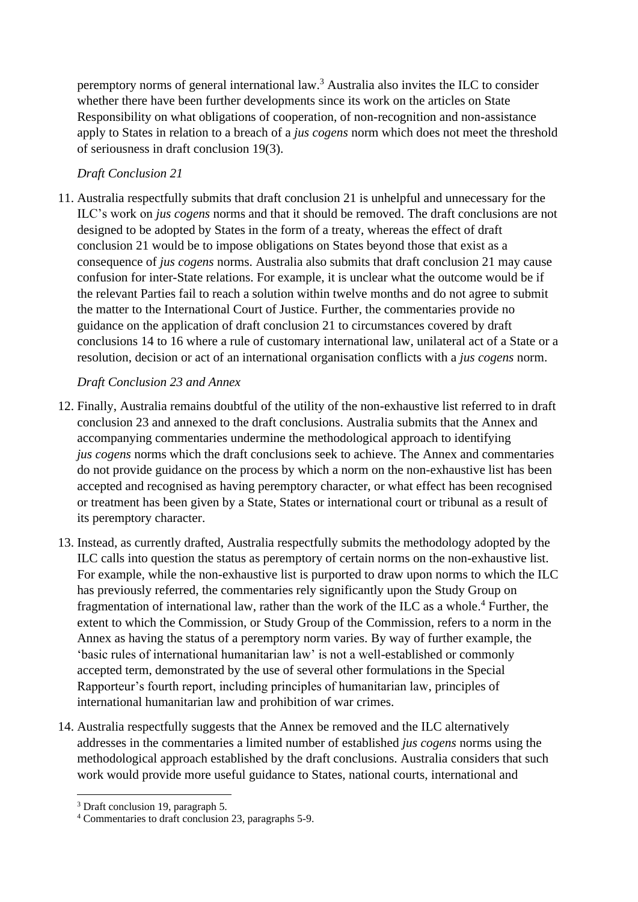peremptory norms of general international law.<sup>3</sup> Australia also invites the ILC to consider whether there have been further developments since its work on the articles on State Responsibility on what obligations of cooperation, of non-recognition and non-assistance apply to States in relation to a breach of a *jus cogens* norm which does not meet the threshold of seriousness in draft conclusion 19(3).

## *Draft Conclusion 21*

11. Australia respectfully submits that draft conclusion 21 is unhelpful and unnecessary for the ILC's work on *jus cogens* norms and that it should be removed. The draft conclusions are not designed to be adopted by States in the form of a treaty, whereas the effect of draft conclusion 21 would be to impose obligations on States beyond those that exist as a consequence of *jus cogens* norms. Australia also submits that draft conclusion 21 may cause confusion for inter-State relations. For example, it is unclear what the outcome would be if the relevant Parties fail to reach a solution within twelve months and do not agree to submit the matter to the International Court of Justice. Further, the commentaries provide no guidance on the application of draft conclusion 21 to circumstances covered by draft conclusions 14 to 16 where a rule of customary international law, unilateral act of a State or a resolution, decision or act of an international organisation conflicts with a *jus cogens* norm.

## *Draft Conclusion 23 and Annex*

- 12. Finally, Australia remains doubtful of the utility of the non-exhaustive list referred to in draft conclusion 23 and annexed to the draft conclusions. Australia submits that the Annex and accompanying commentaries undermine the methodological approach to identifying *jus cogens* norms which the draft conclusions seek to achieve. The Annex and commentaries do not provide guidance on the process by which a norm on the non-exhaustive list has been accepted and recognised as having peremptory character, or what effect has been recognised or treatment has been given by a State, States or international court or tribunal as a result of its peremptory character.
- 13. Instead, as currently drafted, Australia respectfully submits the methodology adopted by the ILC calls into question the status as peremptory of certain norms on the non-exhaustive list. For example, while the non-exhaustive list is purported to draw upon norms to which the ILC has previously referred, the commentaries rely significantly upon the Study Group on fragmentation of international law, rather than the work of the ILC as a whole.<sup>4</sup> Further, the extent to which the Commission, or Study Group of the Commission, refers to a norm in the Annex as having the status of a peremptory norm varies. By way of further example, the 'basic rules of international humanitarian law' is not a well-established or commonly accepted term, demonstrated by the use of several other formulations in the Special Rapporteur's fourth report, including principles of humanitarian law, principles of international humanitarian law and prohibition of war crimes.
- 14. Australia respectfully suggests that the Annex be removed and the ILC alternatively addresses in the commentaries a limited number of established *jus cogens* norms using the methodological approach established by the draft conclusions. Australia considers that such work would provide more useful guidance to States, national courts, international and

<sup>3</sup> Draft conclusion 19, paragraph 5.

<sup>4</sup> Commentaries to draft conclusion 23, paragraphs 5-9.